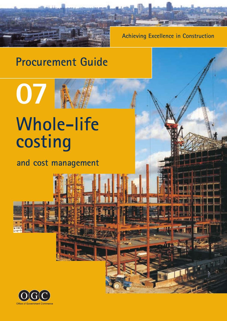

**Achieving Excellence in Construction**

# **Procurement Guide**

# **Whole-life costing**

**07**

**and cost management**

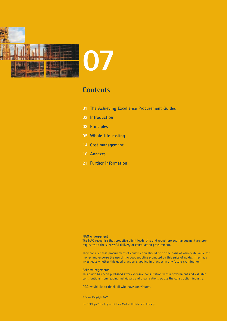

### **Contents**

- **01 [The Achieving Excellence Procurement Guides](#page-2-0)**
- **02 [Introduction](#page-3-0)**
- **03 [Principles](#page-4-0)**
- **05 [Whole-life costing](#page-6-0)**
- **14 [Cost management](#page-15-0)**
- **18 [Annexes](#page-19-0)**
- **21 [Further information](#page-22-0)**

#### **NAO endorsement**

The NAO recognise that proactive client leadership and robust project management are prerequisites to the successful delivery of construction procurement.

They consider that procurement of construction should be on the basis of whole-life value for money and endorse the use of the good practice promoted by this suite of guides. They may investigate whether this good practice is applied in practice in any future examination.

#### **Acknowledgements**

This guide has been published after extensive consultation within government and valuable contributions from leading individuals and organisations across the construction industry.

OGC would like to thank all who have contributed.

© Crown Copyright 2003.

The OGC logo ® is a Registered Trade Mark of Her Majesty's Treasury.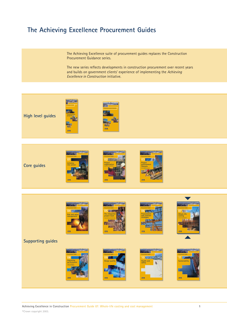### <span id="page-2-0"></span>**The Achieving Excellence Procurement Guides**

The Achieving Excellence suite of procurement guides replaces the Construction Procurement Guidance series.

The new series reflects developments in construction procurement over recent years and builds on government clients' experience of implementing the *Achieving Excellence in Construction* initiative.

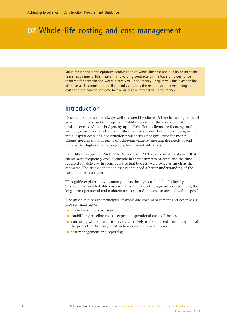<span id="page-3-0"></span>Value for money is the optimum combination of whole-life cost and quality to meet the user's requirement. This means that awarding contracts on the basis of lowest price tendered for construction works is rarely value for money; long-term value over the life of the asset is a much more reliable indicator. It is the relationship between long-term costs and the benefit achieved by clients that represents value for money.

#### **Introduction**

Costs and value are not always well managed by clients. A benchmarking study of government construction projects in 1998 showed that three quarters of the projects exceeded their budgets by up to 50%. Some clients are focusing on the wrong goal – lowest tender price rather than best value; but concentrating on the initial capital costs of a construction project does not give value for money. Clients need to think in terms of achieving value by meeting the needs of endusers with a higher quality project at lower whole-life costs.

In addition, a study by Mott MacDonald for HM Treasury in 2002 showed that clients were frequently over-optimistic in their estimates of costs and the time required for delivery. In some cases, actual budgets were twice as much as the estimates. The study concluded that clients need a better understanding of the basis for their estimates.

This guide explains how to manage costs throughout the life of a facility. The focus is on whole-life costs – that is, the cost of design and construction, the long-term operational and maintenance costs and the costs associated with disposal.

The guide outlines the principles of whole-life cost management and describes a process made up of:

- **a** framework for cost management
- establishing baseline costs expected operational costs of the asset
- estimating whole-life costs every cost likely to be incurred from inception of the project to disposal, construction costs and risk allowance
- **cost management and reporting.**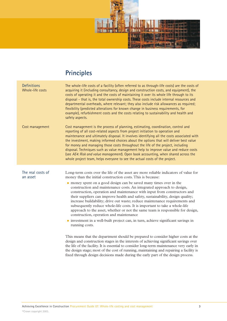

# **Principles**

<span id="page-4-0"></span>

| <b>Definitions</b><br>Whole-life costs | The whole-life costs of a facility (often referred to as through-life costs) are the costs of<br>acquiring it (including consultancy, design and construction costs, and equipment), the<br>costs of operating it and the costs of maintaining it over its whole life through to its<br>disposal - that is, the total ownership costs. These costs include internal resources and<br>departmental overheads, where relevant; they also include risk allowances as required;<br>flexibility (predicted alterations for known change in business requirements, for<br>example), refurbishment costs and the costs relating to sustainability and health and<br>safety aspects.                                                                                                                                                                                                                                                                                                                                                                                                                                                                                                                                                                                                                                       |
|----------------------------------------|--------------------------------------------------------------------------------------------------------------------------------------------------------------------------------------------------------------------------------------------------------------------------------------------------------------------------------------------------------------------------------------------------------------------------------------------------------------------------------------------------------------------------------------------------------------------------------------------------------------------------------------------------------------------------------------------------------------------------------------------------------------------------------------------------------------------------------------------------------------------------------------------------------------------------------------------------------------------------------------------------------------------------------------------------------------------------------------------------------------------------------------------------------------------------------------------------------------------------------------------------------------------------------------------------------------------|
| Cost management                        | Cost management is the process of planning, estimating, coordination, control and<br>reporting of all cost-related aspects from project initiation to operation and<br>maintenance and ultimately disposal. It involves identifying all the costs associated with<br>the investment, making informed choices about the options that will deliver best value<br>for money and managing those costs throughout the life of the project, including<br>disposal. Techniques such as value management help to improve value and reduce costs<br>(see AE4: Risk and value management). Open book accounting, when shared across the<br>whole project team, helps everyone to see the actual costs of the project.                                                                                                                                                                                                                                                                                                                                                                                                                                                                                                                                                                                                        |
| The real costs of<br>an asset          | Long-term costs over the life of the asset are more reliable indicators of value for<br>money than the initial construction costs. This is because:<br>money spent on a good design can be saved many times over in the<br>construction and maintenance costs. An integrated approach to design,<br>construction, operation and maintenance with input from constructors and<br>their suppliers can improve health and safety, sustainability, design quality;<br>increase buildability; drive out waste; reduce maintenance requirements and<br>subsequently reduce whole-life costs. It is important to take a whole-life<br>approach to the asset, whether or not the same team is responsible for design,<br>construction, operation and maintenance<br>number in a well-built project can, in turn, achieve significant savings in<br>running costs.<br>This means that the department should be prepared to consider higher costs at the<br>design and construction stages in the interests of achieving significant savings over<br>the life of the facility. It is essential to consider long-term maintenance very early in<br>the design stage; most of the cost of running, maintaining and repairing a facility is<br>fixed through design decisions made during the early part of the design process. |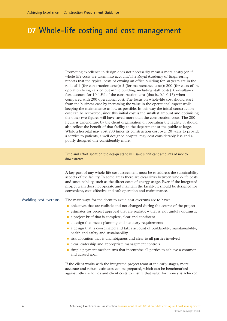Promoting excellence in design does not necessarily mean a more costly job if whole-life costs are taken into account. The Royal Academy of Engineering reports that the typical costs of owning an office building for 30 years are in the ratio of 1 (for construction costs): 5 (for maintenance costs): 200 (for costs of the operation being carried out in the building, including staff costs). Consultancy fees account for 10-15% of the construction cost (that is, 0.1-0.15) when compared with 200 operational cost. The focus on whole-life cost should start from the business case by increasing the value in the operational aspect while keeping the maintenance as low as possible. In this way the initial construction cost can be recovered, since this initial cost is the smallest amount and optimising the other two figures will have saved more than the construction costs. The 200 figure is expenditure by the client organisation on operating the facility; it should also reflect the benefit of that facility to the department or the public at large. While a hospital may cost 200 times its construction cost over 20 years to provide a service to patients, a well designed hospital may cost considerably less and a poorly designed one considerably more.

Time and effort spent on the design stage will save significant amounts of money downstream.

A key part of any whole-life cost assessment must be to address the sustainability aspects of the facility. In some areas there are clear links between whole-life costs and sustainability, such as the direct costs of energy usage. Even if the integrated project team does not operate and maintain the facility, it should be designed for convenient, cost-effective and safe operation and maintenance.

Avoiding cost overruns

The main ways for the client to avoid cost overruns are to have:

- objectives that are realistic and not changed during the course of the project
- estimates for project approval that are realistic that is, not unduly optimistic
- **a** a project brief that is complete, clear and consistent
- a design that meets planning and statutory requirements
- a design that is coordinated and takes account of buildability, maintainability, health and safety and sustainability
- **The risk allocation that is unambiguous and clear to all parties involved**
- **Ex** clear leadership and appropriate management controls
- **Example payment mechanisms that incentivise all parties to achieve a common** and agreed goal.

If the client works with the integrated project team at the early stages, more accurate and robust estimates can be prepared, which can be benchmarked against other schemes and client costs to ensure that value for money is achieved.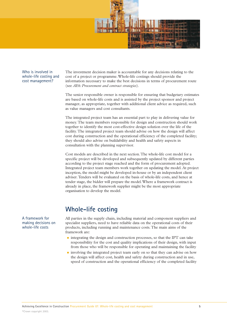

<span id="page-6-0"></span>Who is involved in whole-life costing and cost management?

The investment decision maker is accountable for any decisions relating to the cost of a project or programme.Whole-life costings should provide the information necessary to make the best decisions in terms of procurement route (see *AE6: Procurement and contract strategies*).

The senior responsible owner is responsible for ensuring that budgetary estimates are based on whole-life costs and is assisted by the project sponsor and project manager, as appropriate, together with additional client advice as required, such as value managers and cost consultants.

The integrated project team has an essential part to play in delivering value for money. The team members responsible for design and construction should work together to identify the most cost-effective design solution over the life of the facility. The integrated project team should advise on how the design will affect cost during construction and the operational efficiency of the completed facility; they should also advise on buildability and health and safety aspects in consultation with the planning supervisor.

Cost models are described in the next section.The whole-life cost model for a specific project will be developed and subsequently updated by different parties according to the project stage reached and the form of procurement adopted. Integrated project team members work together on updating the model. At project inception, the model might be developed in-house or by an independent client adviser.Tenders will be evaluated on the basis of whole-life costs, and hence at tender stage, the bidder will prepare the model.Where a framework contract is already in place, the framework supplier might be the most appropriate organisation to develop the model.

#### **Whole-life costing**

All parties in the supply chain, including material and component suppliers and specialist suppliers, need to have reliable data on the operational costs of their products, including running and maintenance costs. The main aims of the framework are:

- Integrating the design and construction processes, so that the IPT can take responsibility for the cost and quality implications of their design, with input from those who will be responsible for operating and maintaining the facility
- involving the integrated project team early on so that they can advise on how the design will affect cost, health and safety during construction and in use, speed of construction and the operational efficiency of the completed facility

A framework for making decisions on whole-life costs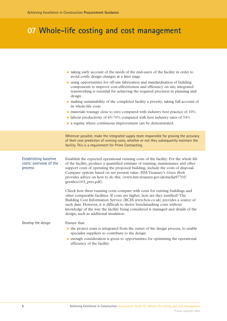|                                                            | • taking early account of the needs of the end-users of the facility in order to<br>avoid costly design changes at a later stage<br>using opportunities for off-site fabrication and standardisation of building<br>components to improve cost-effectiveness and efficiency on site; integrated<br>teamworking is essential for achieving the required precision in planning and<br>design<br>• making sustainability of the completed facility a priority, taking full account of<br>its whole-life costs<br>materials wastage close to zero compared with industry best practice of 10%<br>• labour productivity of 65-70% compared with best industry rates of 54%<br>• a regime where continuous improvement can be demonstrated. |
|------------------------------------------------------------|---------------------------------------------------------------------------------------------------------------------------------------------------------------------------------------------------------------------------------------------------------------------------------------------------------------------------------------------------------------------------------------------------------------------------------------------------------------------------------------------------------------------------------------------------------------------------------------------------------------------------------------------------------------------------------------------------------------------------------------|
|                                                            | Wherever possible, make the integrated supply team responsible for proving the accuracy<br>of their cost prediction of running costs, whether or not they subsequently maintain the<br>facility. This is a requirement for Prime Contracting.                                                                                                                                                                                                                                                                                                                                                                                                                                                                                         |
| Establishing baseline<br>costs: overview of the<br>process | Establish the expected operational running costs of the facility. For the whole life<br>of the facility, produce a quantified estimate of running, maintenance and other<br>support costs of operating the proposed building, include the costs of disposal.<br>Compare options based on net present value. HM Treasury's Green Book<br>provides advice on how to do this. (www.hm-treasury.gov.uk/media97705/<br>geenboo103_pres.pdf).                                                                                                                                                                                                                                                                                               |
|                                                            | Check how these running costs compare with costs for existing buildings and<br>other comparable facilities. If costs are higher, how are they justified? The<br>Building Cost Information Service (BCIS www.bcis.co.uk) provides a source of<br>such data. However, it is difficult to derive benchmarking costs without<br>knowledge of the way the facility being considered is managed and details of the<br>design, such as additional insulation.                                                                                                                                                                                                                                                                                |
| Develop the design                                         | Ensure that:<br>• the project team is integrated from the outset of the design process, to enable<br>specialist suppliers to contribute to the design<br>• enough consideration is given to opportunities for optimising the operational<br>efficiency of the facility.                                                                                                                                                                                                                                                                                                                                                                                                                                                               |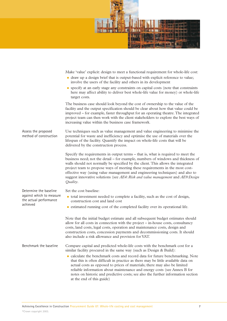

Make 'value' explicit: design to meet a functional requirement for whole-life cost:

- draw up a design brief that is output-based with explicit reference to value; involve the users of the facility and others in its development
- specify at an early stage any constraints on capital costs (note that constraints here may affect ability to deliver best whole-life value for money) or whole-life target costs.

The business case should look beyond the cost of ownership to the value of the facility and the output specification should be clear about how that value could be improved – for example, faster throughput for an operating theatre.The integrated project team can then work with the client stakeholders to explore the best ways of increasing value within the business case framework.

Use techniques such as value management and value engineering to minimise the potential for waste and inefficiency and optimise the use of materials over the lifespan of the facility. Quantify the impact on whole-life costs that will be delivered by the construction process. Assess the proposed method of construction

> Specify the requirements in output terms – that is, what is required to meet the business need; not the detail – for example, numbers of windows and thickness of walls should not normally be specified by the client. This allows the integrated project team to propose ways of meeting these requirements in the most costeffective way (using value management and engineering techniques) and also to suggest innovative solutions (see *AE4: Risk and value management* and *AE9:Design Quality*.

Set the cost baseline:

Determine the baseline against which to measure the actual performance

achieved

- total investment needed to complete a facility, such as the cost of design, construction cost and land cost
- estimated running cost of the completed facility over its operational life.

Note that the initial budget estimate and all subsequent budget estimates should allow for all costs in connection with the project – in-house costs, consultancy costs, land costs, legal costs, operation and maintenance costs, design and construction costs, concession payments and decommissioning costs. It should also include a risk allowance and provision for VAT.

Compare capital and predicted whole-life costs with the benchmark cost for a similar facility procured in the same way (such as Design & Build): Benchmark the baseline

> - calculate the benchmark costs and record data for future benchmarking. Note that this is often difficult in practice as there may be little available data on actual costs as opposed to prices of materials; there may also be limited reliable information about maintenance and energy costs (see Annex B for notes on historic and predictive costs; see also the further information section at the end of this guide)

Achieving Excellence in Construction Procurement Guide 07: Whole-life costing and cost management **7** ©Crown copyright 2003.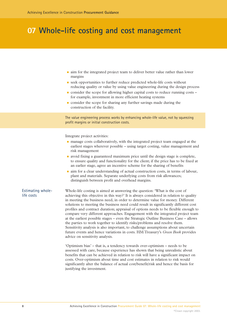- in aim for the integrated project team to deliver better value rather than lower margins
- seek opportunities to further reduce predicted whole-life costs without reducing quality or value by using value engineering during the design process
- consider the scope for allowing higher capital costs to reduce running costs for example, investment in more efficient heating systems
- **n** consider the scope for sharing any further savings made during the construction of the facility.

The value engineering process works by enhancing whole-life value, not by squeezing profit margins or initial construction costs.

Integrate project activities:

- n manage costs collaboratively, with the integrated project team engaged at the earliest stages wherever possible – using target costing, value management and risk management
- avoid fixing a guaranteed maximum price until the design stage is complete, to ensure quality and functionality for the client; if the price has to be fixed at an earlier stage, agree an incentive scheme for the sharing of benefits
- in aim for a clear understanding of actual construction costs, in terms of labour, plant and materials. Separate underlying costs from risk allowances; distinguish between profit and overhead margins.

#### Estimating wholelife costs

Whole-life costing is aimed at answering the question: 'What is the cost of achieving this objective in this way?' It is always considered in relation to quality in meeting the business need, in order to determine value for money. Different solutions to meeting the business need could result in significantly different cost profiles and contract duration; appraisal of options needs to be flexible enough to compare very different approaches. Engagement with the integrated project team at the earliest possible stages – even the Strategic Outline Business Case – allows the parties to work together to identify risks/problems and resolve them. Sensitivity analysis is also important, to challenge assumptions about uncertain future events and hence variations in costs. HM Treasury's *Green Book* provides advice on sensitivity analysis.

'Optimism bias' – that is, a tendency towards over-optimism – needs to be assessed with care, because experience has shown that being unrealistic about benefits that can be achieved in relation to risk will have a significant impact on costs. Over-optimism about time and cost estimates in relation to risk would significantly alter the balance of actual cost/benefit/risk and hence the basis for justifying the investment.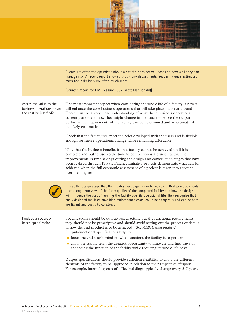

Clients are often too optimistic about what their project will cost and how well they can manage risk. A recent report showed that many departments frequently underestimated costs and risks by 50%, often much more.

[Source: Report for HM Treasury 2002 (Mott MacDonald)]

Assess the value to the business operations – can the cost be justified?

The most important aspect when considering the whole life of a facility is how it will enhance the core business operations that will take place in, on or around it. There must be a very clear understanding of what those business operations currently are – and how they might change in the future – before the output performance requirements of the facility can be determined and an estimate of the likely cost made.

Check that the facility will meet the brief developed with the users and is flexible enough for future operational change while remaining affordable.

Note that the business benefits from a facility cannot be achieved until it is complete and put to use, so the time to completion is a crucial factor. The improvements in time savings during the design and construction stages that have been realised through Private Finance Initiative projects demonstrate what can be achieved when the full economic assessment of a project is taken into account over the long term.



It is at the design stage that the greatest value gains can be achieved. Best practice clients take a long-term view of the likely quality of the completed facility and how the design will influence the cost of running the facility over its operational life. They recognise that badly designed facilities have high maintenance costs, could be dangerous and can be both inefficient and costly to construct.

Produce an outputbased specification

Specifications should be output-based, setting out the functional requirements; they should not be prescriptive and should avoid setting out the process or details of how the end product is to be achieved. (See *AE9: Design quality*.) Output-functional specifications help to:

- focus the end-user's mind on what functions the facility is to perform
- lace allow the supply team the greatest opportunity to innovate and find ways of enhancing the function of the facility while reducing its whole-life costs.

Output specifications should provide sufficient flexibility to allow the different elements of the facility to be upgraded in relation to their respective lifespans. For example, internal layouts of office buildings typically change every 5-7 years.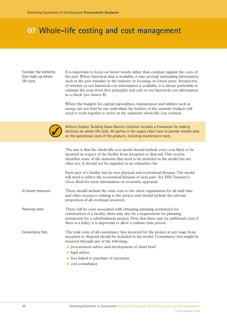Consider the elements that make up wholelife costs

It is important to focus on future trends rather than compare against the costs of the past.Where historical data is available, it may provide misleading information, such as the past mistakes in the industry in focusing on lowest price. Irrespective of whether or not historical cost information is available, it is always preferable to estimate the costs from first principles and only to use historical cost information as a check (see Annex B).

Where the budgets for capital expenditure, maintenance and utilities such as energy are not held by one individual, the holders of the separate budgets will need to work together to arrive at the optimum whole-life cost solution.



Defence Estates' Building Down Barriers initiative includes a framework for making decisions on whole-life costs. All parties in the supply chain have to provide reliable data on the operational costs of the products, including maintenance costs.

|                    | The aim is that the whole-life cost model should include every cost likely to be<br>incurred in respect of the facility from inception to disposal. This section<br>identifies some of the elements that need to be included in the model but are<br>often not. It should not be regarded as an exhaustive list. |
|--------------------|------------------------------------------------------------------------------------------------------------------------------------------------------------------------------------------------------------------------------------------------------------------------------------------------------------------|
|                    | Each part of a facility has its own physical and economical lifespan. The model<br>will need to reflect the economical lifespan of each part. See HM Treasury's<br>Green Book for more information on economic appraisal.                                                                                        |
| In-house resources | These should include the total costs to the client organisation for all staff time<br>and other resources relating to the project and should include the relevant<br>proportion of all overhead resources.                                                                                                       |
| Planning costs     | There will be costs associated with obtaining planning permission for<br>construction of a facility; there may also be a requirement for planning<br>permission for a refurbishment project. Note that there may be additional costs if<br>there is a delay; it is important to allow a realistic time period.   |
| Consultancy fees   | The total costs of all consultancy fees incurred for the project at any stage from<br>inception to disposal should be included in the model. Consultancy fees might be<br>incurred through any of the following:                                                                                                 |
|                    | <b>per procurement advice and development of client brief</b>                                                                                                                                                                                                                                                    |
|                    | legal advice                                                                                                                                                                                                                                                                                                     |
|                    | ■ fees linked to purchase of site/assets                                                                                                                                                                                                                                                                         |
|                    |                                                                                                                                                                                                                                                                                                                  |

**cost consultancy**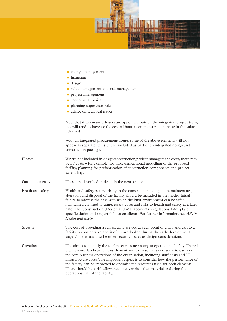

- change management
- financing
- design
- value management and risk management
- **project management**
- **Exercise 1** economic appraisal
- planning supervisor role
- **a** advice on technical issues.

Note that if too many advisers are appointed outside the integrated project team, this will tend to increase the cost without a commensurate increase in the value delivered.

With an integrated procurement route, some of the above elements will not appear as separate items but be included as part of an integrated design and construction package.

- Where not included in design/construction/project management costs, there may be IT costs – for example, for three-dimensional modelling of the proposed facility, planning for prefabrication of construction components and project scheduling. IT costs
- These are described in detail in the next section. Construction costs
- Health and safety issues arising in the construction, occupation, maintenance, alteration and disposal of the facility should be included in the model. Initial failure to address the ease with which the built environment can be safely maintained can lead to unnecessary costs and risks to health and safety at a later date. The Construction (Design and Management) Regulations 1994 place specific duties and responsibilities on clients. For further information, see *AE10: Health and safety*. Health and safety

The cost of providing a full security service at each point of entry and exit to a facility is considerable and is often overlooked during the early development stages. There may also be other security issues as design considerations. Security

The aim is to identify the total resources necessary to operate the facility. There is often an overlap between this element and the resources necessary to carry out the core business operations of the organisation, including staff costs and IT infrastructure costs. The important aspect is to consider how the performance of the facility can be improved to optimise the resources used for both elements. There should be a risk allowance to cover risks that materialise during the operational life of the facility. **Operations**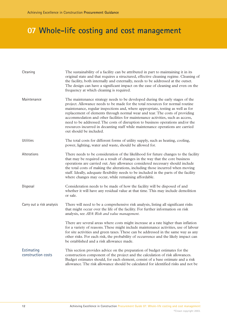| Cleaning                         | The sustainability of a facility can be attributed in part to maintaining it in its<br>original state and that requires a structured, effective cleaning regime. Cleaning of<br>the facility, both internally and externally, needs to be addressed at the outset.<br>The design can have a significant impact on the ease of cleaning and even on the<br>frequency at which cleaning is required.                                                                                                                                                                                                                   |  |
|----------------------------------|----------------------------------------------------------------------------------------------------------------------------------------------------------------------------------------------------------------------------------------------------------------------------------------------------------------------------------------------------------------------------------------------------------------------------------------------------------------------------------------------------------------------------------------------------------------------------------------------------------------------|--|
| Maintenance                      | The maintenance strategy needs to be developed during the early stages of the<br>project. Allowance needs to be made for the total resources for normal routine<br>maintenance, regular inspections and, where appropriate, testing as well as for<br>replacement of elements through normal wear and tear. The costs of providing<br>accommodation and other facilities for maintenance activities, such as access,<br>need to be addressed. The costs of disruption to business operations and/or the<br>resources incurred in decanting staff while maintenance operations are carried<br>out should be included. |  |
| Utilities                        | The total costs for different forms of utility supply, such as heating, cooling,<br>power, lighting, water and waste, should be allowed for.                                                                                                                                                                                                                                                                                                                                                                                                                                                                         |  |
| Alterations                      | There needs to be consideration of the likelihood for future changes to the facility<br>that may be required as a result of changes in the way that the core business<br>operations are carried out. Any allowance considered necessary should include<br>the total costs of making the alterations, including those incurred when moving<br>staff. Ideally, adequate flexibility needs to be included in the parts of the facility<br>where changes may occur, while remaining affordable.                                                                                                                          |  |
| Disposal                         | Consideration needs to be made of how the facility will be disposed of and<br>whether it will have any residual value at that time. This may include demolition<br>or sale.                                                                                                                                                                                                                                                                                                                                                                                                                                          |  |
| Carry out a risk analysis        | There will need to be a comprehensive risk analysis, listing all significant risks<br>that might occur over the life of the facility. For further information on risk<br>analysis, see AE4: Risk and value management.                                                                                                                                                                                                                                                                                                                                                                                               |  |
|                                  | There are several areas where costs might increase at a rate higher than inflation<br>for a variety of reasons. These might include maintenance activities, use of labour<br>for site activities and green taxes. These can be addressed in the same way as any<br>other risks. For each risk, the probability of occurrence and the likely impact can<br>be established and a risk allowance made.                                                                                                                                                                                                                  |  |
| Estimating<br>construction costs | This section provides advice on the preparation of budget estimates for the<br>construction component of the project and the calculation of risk allowances.<br>Budget estimates should, for each element, consist of a base estimate and a risk<br>allowance. The risk allowance should be calculated for identified risks and not be                                                                                                                                                                                                                                                                               |  |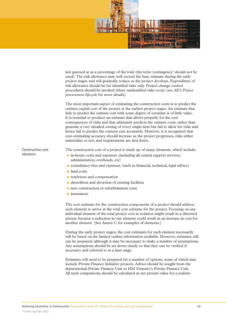

just guessed at as a percentage of the total (the term 'contingency' should not be used). The risk allowance may well exceed the base estimate during the early project stages and will gradually reduce as the project develops. Expenditure of risk allowance should be for identified risks only. Project change control procedures should be invoked where unidentified risks occur (see *AE3: Project procurement lifecycle* for more details).

The most important aspect of estimating the construction costs is to predict the outturn capital cost of the project at the earliest project stages. An estimate that fails to predict the outturn cost with some degree of certainty is of little value. It is essential to produce an estimate that allows properly for the cost consequences of risks and that ultimately predicts the outturn costs, rather than generate a very detailed costing of every single item but fail to allow for risks and hence fail to predict the outturn cost accurately. However, it is recognised that cost-estimating accuracy should increase as the project progresses, risks either materialise or not, and requirements are tied down.

The construction cost of a project is made up of many elements, which include:

- $\blacksquare$  in-house costs and expenses (including all central support services, administration, overheads, etc)
- consultancy fees and expenses (such as financial, technical, legal advice)
- land costs
- wayleaves and compensation
- **Example 1** demolition and diversion of existing facilities
- **n** new construction or refurbishment costs
- **u** insurances.

The cost estimate for the construction components of a project should address each element to arrive at the total cost estimate for the project. Focusing on any individual element of the total project cost in isolation might result in a distorted picture because a reduction in one element could result in an increase in cost for another element. (See Annex C for examples of elements.)

During the early project stages, the cost estimates for each element necessarily will be based on the limited outline information available. However, estimates still can be prepared, although it may be necessary to make a number of assumptions. Any assumptions should be set down clearly so that they can be verified if necessary and referred to at a later stage.

Estimates will need to be prepared for a number of options, some of which may include Private Finance Initiative projects. Advice should be sought from the departmental Private Finance Unit or HM Treasury's Private Finance Unit. All such comparisons should be calculated as net present value for a realistic

Construction cost elements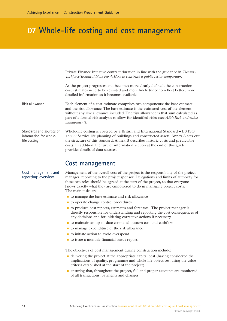<span id="page-15-0"></span>Private Finance Initiative contract duration in line with the guidance in *Treasury Taskforce Technical Note No 4: How to construct a public sector comparator*.

As the project progresses and becomes more clearly defined, the construction cost estimates need to be revisited and more finely tuned to reflect better, more detailed information as it becomes available.

Each element of a cost estimate comprises two components: the base estimate and the risk allowance. The base estimate is the estimated cost of the element without any risk allowance included. The risk allowance is that sum calculated as part of a formal risk analysis to allow for identified risks (see *AE4: Risk and value management*). Risk allowance

Whole-life costing is covered by a British and International Standard – BS ISO 15686: Service life planning of buildings and constructed assets. Annex A sets out the structure of this standard; Annex B describes historic costs and predictable costs. In addition, the further information section at the end of this guide provides details of data sources. Standards and sources of information for wholelife costing

#### **Cost management**

#### Cost management and reporting: overview

Management of the overall cost of the project is the responsibility of the project manager, reporting to the project sponsor. Delegations and limits of authority for these two roles should be agreed at the start of the project, so that everyone knows exactly what they are empowered to do in managing project costs. The main tasks are:

- **t** to manage the base estimate and risk allowance
- **to operate change control procedures**
- **the produce cost reports, estimates and forecasts. The project manager is** directly responsible for understanding and reporting the cost consequences of any decisions and for initiating corrective actions if necessary
- to maintain an up-to-date estimated outturn cost and cashflow
- to manage expenditure of the risk allowance
- $\blacksquare$  to initiate action to avoid overspend
- to issue a monthly financial status report.

The objectives of cost management during construction include:

- delivering the project at the appropriate capital cost (having considered the implications of quality, programme and whole-life objectives, using the value criteria established at the start of the project)
- ensuring that, throughout the project, full and proper accounts are monitored of all transactions, payments and changes.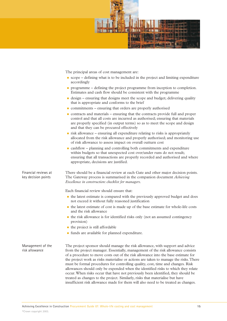

The principal areas of cost management are:

- scope defining what is to be included in the project and limiting expenditure accordingly
- programme defining the project programme from inception to completion. Estimates and cash flow should be consistent with the programme
- design ensuring that designs meet the scope and budget; delivering quality that is appropriate and conforms to the brief
- commitments ensuring that orders are properly authorised
- contracts and materials ensuring that the contracts provide full and proper control and that all costs are incurred as authorised; ensuring that materials are properly specified (in output terms) so as to meet the scope and design and that they can be procured effectively
- risk allowance ensuring all expenditure relating to risks is appropriately allocated from the risk allowance and properly authorised; and monitoring use of risk allowance to assess impact on overall outturn cost
- cashflow planning and controlling both commitments and expenditure within budgets so that unexpected cost over/under runs do not result; ensuring that all transactions are properly recorded and authorised and where appropriate, decisions are justified.

Financial reviews at key decision points

There should be a financial review at each Gate and other major decision points. The Gateway process is summarised in the companion document *Achieving Excellence in construction: checklist for managers*.

Each financial review should ensure that:

- the latest estimate is compared with the previously approved budget and does not exceed it without fully reasoned justification
- the latest estimate of cost is made up of the base estimate for whole-life costs and the risk allowance
- the risk allowance is for identified risks only (not an assumed contingency provision)
- **n** the project is still affordable
- funds are available for planned expenditure.

Management of the risk allowance

The project sponsor should manage the risk allowance, with support and advice from the project manager. Essentially, management of the risk allowance consists of a procedure to move costs out of the risk allowance into the base estimate for the project work as risks materialise or actions are taken to manage the risks.There must be formal procedures for controlling quality, cost, time and changes. Risk allowances should only be expended when the identified risks to which they relate occur.When risks occur that have not previously been identified, they should be treated as changes to the project. Similarly, risks that materialise but have insufficient risk allowance made for them will also need to be treated as changes.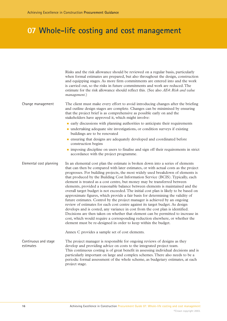|                                   | Risks and the risk allowance should be reviewed on a regular basis, particularly<br>when formal estimates are prepared, but also throughout the design, construction<br>and equipping stages. As more firm commitments are entered into and the work<br>is carried out, so the risks in future commitments and work are reduced. The<br>estimate for the risk allowance should reflect this. (See also AE4: Risk and value<br>management.)                                                                                                                                                                                                                                                                                                                                                                                                                                                                                                                                                                                                                                                                                                                                       |
|-----------------------------------|----------------------------------------------------------------------------------------------------------------------------------------------------------------------------------------------------------------------------------------------------------------------------------------------------------------------------------------------------------------------------------------------------------------------------------------------------------------------------------------------------------------------------------------------------------------------------------------------------------------------------------------------------------------------------------------------------------------------------------------------------------------------------------------------------------------------------------------------------------------------------------------------------------------------------------------------------------------------------------------------------------------------------------------------------------------------------------------------------------------------------------------------------------------------------------|
| Change management                 | The client must make every effort to avoid introducing changes after the briefing<br>and outline design stages are complete. Changes can be minimised by ensuring<br>that the project brief is as comprehensive as possible early on and the<br>stakeholders have approved it, which might involve:                                                                                                                                                                                                                                                                                                                                                                                                                                                                                                                                                                                                                                                                                                                                                                                                                                                                              |
|                                   | early discussions with planning authorities to anticipate their requirements                                                                                                                                                                                                                                                                                                                                                                                                                                                                                                                                                                                                                                                                                                                                                                                                                                                                                                                                                                                                                                                                                                     |
|                                   | · undertaking adequate site investigations, or condition surveys if existing<br>buildings are to be renovated                                                                                                                                                                                                                                                                                                                                                                                                                                                                                                                                                                                                                                                                                                                                                                                                                                                                                                                                                                                                                                                                    |
|                                   | • ensuring that designs are adequately developed and coordinated before<br>construction begins                                                                                                                                                                                                                                                                                                                                                                                                                                                                                                                                                                                                                                                                                                                                                                                                                                                                                                                                                                                                                                                                                   |
|                                   | imposing discipline on users to finalise and sign off their requirements in strict<br>accordance with the project programme.                                                                                                                                                                                                                                                                                                                                                                                                                                                                                                                                                                                                                                                                                                                                                                                                                                                                                                                                                                                                                                                     |
| Elemental cost planning           | In an elemental cost plan the estimate is broken down into a series of elements<br>that can then be compared with later estimates, or with actual costs as the project<br>progresses. For building projects, the most widely used breakdown of elements is<br>that produced by the Building Cost Information Service (BCIS). Typically, each<br>element is treated as a cost centre, but money may be transferred between<br>elements, provided a reasonable balance between elements is maintained and the<br>overall target budget is not exceeded. The initial cost plan is likely to be based on<br>approximate figures, which provide a fair basis for determining the validity of<br>future estimates. Control by the project manager is achieved by an ongoing<br>review of estimates for each cost centre against its target budget. As design<br>develops and is costed, any variance in cost from the cost plan is identified.<br>Decisions are then taken on whether that element can be permitted to increase in<br>cost, which would require a corresponding reduction elsewhere, or whether the<br>element must be re-designed in order to keep within the budget. |
|                                   | Annex C provides a sample set of cost elements.                                                                                                                                                                                                                                                                                                                                                                                                                                                                                                                                                                                                                                                                                                                                                                                                                                                                                                                                                                                                                                                                                                                                  |
| Continuous and stage<br>estimates | The project manager is responsible for ongoing reviews of designs as they<br>develop and providing advice on costs to the integrated project team.<br>This continuous costing is of great benefit in assessing individual decisions and is<br>particularly important on large and complex schemes. There also needs to be a<br>periodic formal assessment of the whole scheme, as budgetary estimates, at each<br>project stage.                                                                                                                                                                                                                                                                                                                                                                                                                                                                                                                                                                                                                                                                                                                                                 |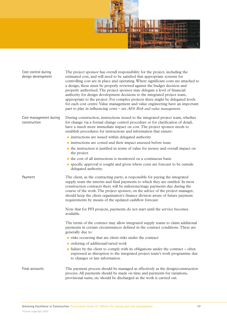

| Cost control during<br>design development | The project sponsor has overall responsibility for the project, including the<br>estimated cost, and will need to be satisfied that appropriate systems for<br>controlling cost are in place and operating. Where significant costs are attached to<br>a design, these must be properly reviewed against the budget decision and<br>properly authorised. The project sponsor may delegate a level of financial<br>authority for design development decisions to the integrated project team,<br>appropriate to the project. For complex projects there might be delegated levels<br>for each cost centre. Value management and value engineering have an important<br>part to play in influencing costs – see $AE4$ : Risk and value management.   |
|-------------------------------------------|----------------------------------------------------------------------------------------------------------------------------------------------------------------------------------------------------------------------------------------------------------------------------------------------------------------------------------------------------------------------------------------------------------------------------------------------------------------------------------------------------------------------------------------------------------------------------------------------------------------------------------------------------------------------------------------------------------------------------------------------------|
| Cost management during<br>construction    | During construction, instructions issued to the integrated project team, whether<br>for change via a formal change control procedure or for clarification of detail,<br>have a much more immediate impact on cost. The project sponsor needs to<br>establish procedures for instructions and information that ensure:<br>instructions are issued within delegated authority<br>instructions are costed and their impact assessed before issue<br>• the instruction is justified in terms of value for money and overall impact on<br>the project<br>• the cost of all instructions is monitored on a continuous basis<br>• specific approval is sought and given where costs are forecast to be outside<br>delegated authority.                    |
| Payment                                   | The client, as the contracting party, is responsible for paying the integrated<br>supply team the interim and final payments to which they are entitled. In most<br>construction contracts there will be milestone/stage payments due during the<br>course of the work. The project sponsor, on the advice of the project manager,<br>should keep the client organisation's finance division aware of future payment<br>requirements by means of the updated cashflow forecast.<br>Note that for PFI projects, payments do not start until the service becomes<br>available.<br>The terms of the contract may allow integrated supply teams to claim additional<br>payments in certain circumstances defined in the contract conditions. These are |
|                                           | generally due to:<br>in risks occurring that are client risks under the contract                                                                                                                                                                                                                                                                                                                                                                                                                                                                                                                                                                                                                                                                   |
|                                           | ordering of additional/varied work                                                                                                                                                                                                                                                                                                                                                                                                                                                                                                                                                                                                                                                                                                                 |
|                                           | • failure by the client to comply with its obligations under the contract – often<br>expressed as disruption to the integrated project team's work programme due<br>to changes or late information.                                                                                                                                                                                                                                                                                                                                                                                                                                                                                                                                                |
| Final accounts                            | The payment process should be managed as effectively as the design/construction<br>process. All payments should be made on time and payments for variations,<br>provisional sums, etc should be discharged as the work is carried out.                                                                                                                                                                                                                                                                                                                                                                                                                                                                                                             |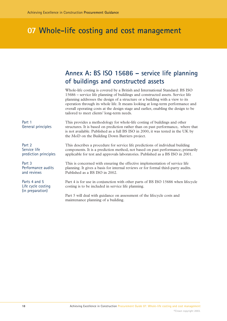### <span id="page-19-0"></span>**Annex A: BS ISO 15686 – service life planning of buildings and constructed assets**

Whole-life costing is covered by a British and International Standard: BS ISO 15686 – service life planning of buildings and constructed assets. Service life planning addresses the design of a structure or a building with a view to its operation through its whole life. It means looking at long-term performance and overall operating costs at the design stage and earlier, enabling the design to be tailored to meet clients' long-term needs.

This provides a methodology for whole-life costing of buildings and other structures. It is based on prediction rather than on past performance, where that is not available. Published as a full BS ISO in 2000, it was tested in the UK by the MoD on the Building Down Barriers project. This describes a procedure for service life predictions of individual building components. It is a prediction method, not based on past performance; primarily applicable for test and approvals laboratories. Published as a BS ISO in 2001. This is concerned with ensuring the effective implementation of service life planning. It gives a basis for internal reviews or for formal third-party audits. Published as a BS ISO in 2002. Part 4 is for use in conjunction with other parts of BS ISO 15686 when lifecycle costing is to be included in service life planning. Part 5 will deal with guidance on assessment of the lifecycle costs and maintenance planning of a building. Part 1 General principles Part 2 Service life prediction principles Part 3 Performance audits and reviews Parts 4 and 5 Life cycle costing (in preparation)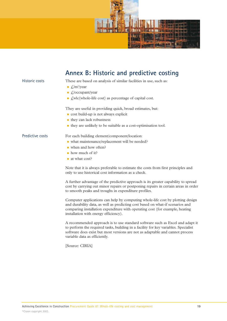



[Source: CIRIA]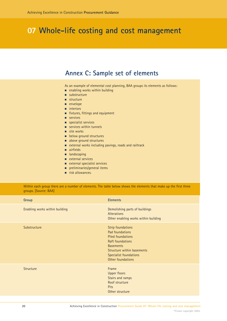### **Annex C: Sample set of elements**

As an example of elemental cost planning, BAA groups its elements as follows:

- **n** enabling works within building
- **substructure**
- **structure**
- **n** envelope
- **numieriors**
- **EXTER:** fittings and equipment
- **E** services
- **specialist services**
- **EXECUTE:** Services within tunnels
- **site works**
- **E** below ground structures
- **a** above ground structures
- **EXTER 2018 IN A 2018 WE ATTER STARK IN A 2018 CONCRUPTER AND READLIST EXAM** extending extendions and railtrack
- **airfields**
- **n** landscaping
- **E** external services
- **EXTER 2018 In External specialist services**
- preliminaries/general items
- **n** risk allowances.

Within each group there are a number of elements. The table below shows the elements that make up the first three groups. [Source: BAA]

| Group                          | <b>Elements</b>                                                                                                                                                                                     |
|--------------------------------|-----------------------------------------------------------------------------------------------------------------------------------------------------------------------------------------------------|
| Enabling works within building | Demolishing parts of buildings<br>Alterations<br>Other enabling works within building                                                                                                               |
| Substructure                   | <b>Strip foundations</b><br>Pad foundations<br><b>Piled foundations</b><br><b>Raft foundations</b><br><b>Basements</b><br>Structure within basements<br>Specialist foundations<br>Other foundations |
| <b>Structure</b>               | Frame<br><b>Upper floors</b><br>Stairs and ramps<br>Roof structure<br><b>Pits</b><br>Other structure                                                                                                |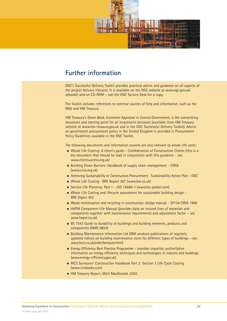<span id="page-22-0"></span>

### **Further information**

OGC's Successful Delivery Toolkit provides practical advice and guidance on all aspects of the project delivery lifecycle. It is available on the OGC website at www.ogc.gov.uk/ sdtoolkit and on CD-ROM – call the OGC Service Desk for a copy.

The Toolkit includes references to external sources of help and information, such as the NAO and HM Treasury.

HM Treasury's *Green Book, Economic Appraisal in Central Government*, is the overarching document and starting point for all investment decisions (available from HM Treasury website at www.hm-treasury.gov.uk and in the OGC Successful Delivery Toolkit). Advice on government procurement policy in the United Kingdom is provided in Procurement Policy Guidelines available in the OGC Toolkit.

The following documents and information sources are also relevant to whole-life costs:

- Whole Life Costing: A client's guide Confederation of Construction Clients (this is a key document that should be read in conjunction with this guidance – see www.clientsuccess.org.uk)
- Building Down Barriers: Handbook of supply chain management CIRIA (www.ciria.org.uk)
- **n** Achieving Sustainability in Construction Procurement: Sustainability Action Plan OGC
- Whole Life Costing: BRE Report 367 (www.bre.co.uk)
- Service Life Planning: Part 1 ISO 15686-1 (www.bsi-global.com)
- Whole Life Costing and lifecycle assessment for sustainable building design -BRE Digest 452
- Waste minimisation and recycling in construction: design manual SP134 CIRIA 1998
- HAPM Component Life Manual (provides data on insured lives of materials and components together with maintenance requirements and adjustment factor – see www.hapm.co.uk)
- **BS** 7543 Guide to durability of buildings and building elements, products and components (AMD 9854)
- **Building Maintenance Information Ltd (BMI produce publications of regularly** updated indices on building maintenance costs for different types of buildings – see www.bcis.co.uk/order/bmipub.html)
- Energy Efficiency Best Practice Programme provides impartial, authoritative information on energy efficiency techniques and technologies in industry and buildings (www.energy-efficiency.gov.uk)
- RICS Surveyors' Construction Handbook Part 2: Section 2 Life Cycle Costing (www.ricsbooks.com)
- HM Treasury Report, Mott MacDonald, 2002.